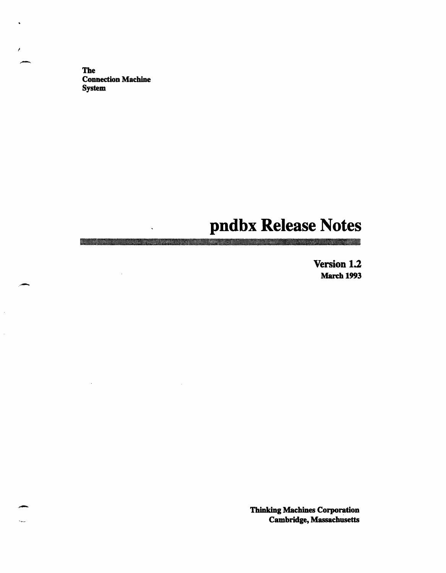The Connection Machine System

 $\pmb{\prime}$ 

 $\bar{z}$ 

 $\hat{\mathcal{A}}$ 

# **pndbx Release Notes**

mm m m iiiiiim ....

**Version** 1.2 March 1993

Thinking Machines Corporation Cambridge, Massachusetts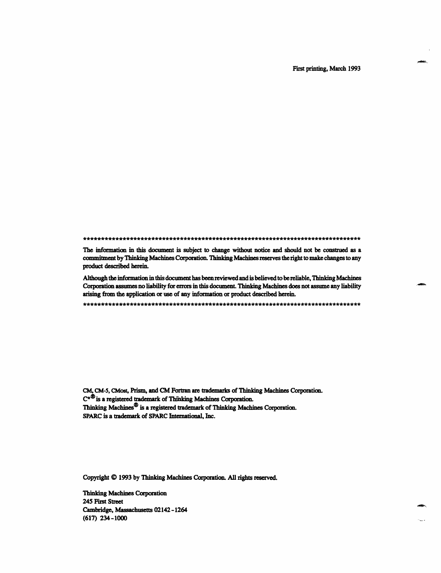First printing, March 1993

The information in this document is subject to change without notice and should not be construed as a commitment by Thinking Machines Corporation. Thinking Machines reserves the right to make changes to any product described herein.

Although the information in this document has been reviewed and is believed to be reliable, Thinking Machines Corporation assumes no liability for errors in this document. Thinking Machines does not assume any liability arising from the application or use of any information or product described herein.

CM, CM-5, CMost, Prism, and CM Fortran are trademarks of Thinking Machines Corporation.  $C^*$ <sup>®</sup> is a registered trademark of Thinking Machines Corporation. Thinking Machines<sup>®</sup> is a registered trademark of Thinking Machines Corporation. SPARC is a trademark of SPARC International, Inc.

Copyright © 1993 by Thinking Machines Corporation. All rights reserved.

**Thinking Machines Corporation** 245 First Street Cambridge, Massachusetts 02142-1264  $(617)$  234-1000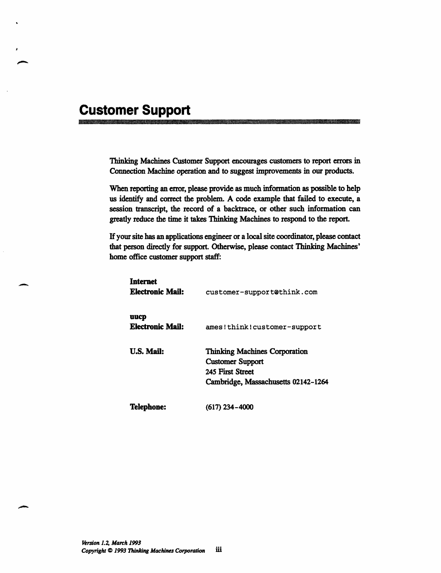## **Customer Support**

Thinking Machines Customer Support encourages customers to report errors in Connection Machine operation and to suggest improvements in our products.

...... .. . ... \_\_\_. - -----------------

When reporting an error, please provide as much information as possible to help us identify and correct the problem. A code example that failed to execute, a session transcript, the record of a backtrace, or other such information can greatly reduce the time it takes Thinking Machines to respond to the report.

If your site has an applications engineer or a local site coordinator, please contact that person directly for support. Otherwise, please contact Thinking Machines' home office customer support staff:

| Internet<br><b>Electronic Mail:</b> | customer-support@think.com                                                                                                 |
|-------------------------------------|----------------------------------------------------------------------------------------------------------------------------|
| uucp<br><b>Electronic Mail:</b>     | ames!think!customer-support                                                                                                |
| <b>U.S. Mail:</b>                   | <b>Thinking Machines Corporation</b><br><b>Customer Support</b><br>245 First Street<br>Cambridge, Massachusetts 02142-1264 |
| <b>Telephone:</b>                   | (617) 234-4000                                                                                                             |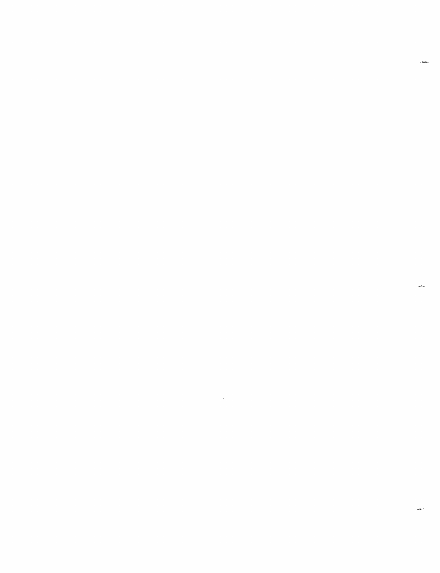$\mathcal{L}(\mathcal{A})$  and  $\mathcal{L}(\mathcal{A})$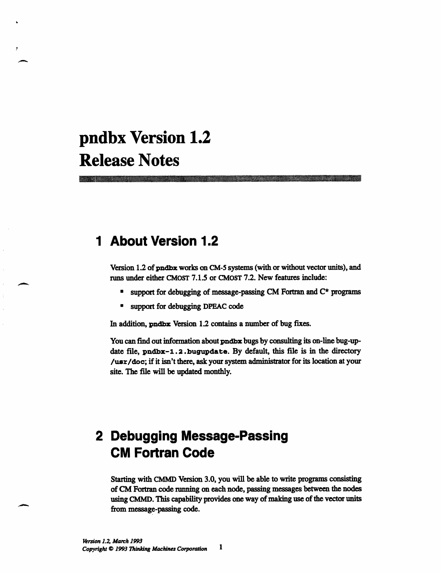## **pndbx Version 1.2 Release Notes**

#### 1 **About Version 1.2**

Version 1.2 of pndbx works on CM-5 systems (with or without vector units), and runs under either CMOST 7.1.5 or CMOST 7.2. New features include:

i a = ----------------------------------- 1 1 1111

- \* support for debugging of message-passing CM Fortran and  $C^*$  programs
- · support for debugging DPEAC code

In addition, pndbx Version 1.2 contains a number of bug fixes.

You can find out information about pndbx bugs by consulting its on-line bug-update file, pndbx-1.2. bugupdate. By default, this file is in the directory /usr/doc; if it isn't there, ask your system administrator for its location at your site. The file will be updated monthly.

### **2 Debugging Message-Passing CM Fortran Code**

Starting with CMMD Version 3.0, you will be able to write programs consisting of CM Fortran code running on each node, passing messages between the nodes using CMMD. This capability provides one way of making use of the vector units from message-passing code.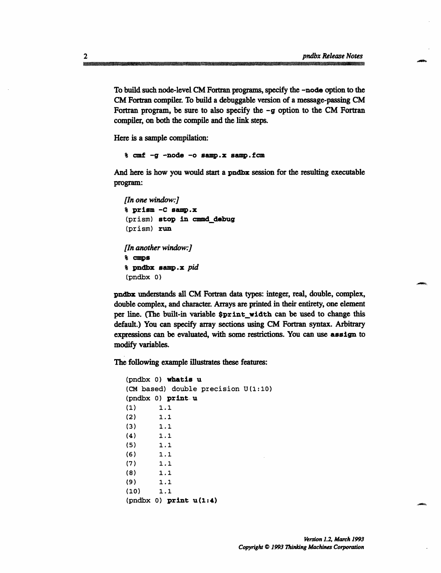To build such node-level CM Fortran programs, specify the -node option to the CM Fortran compiler. To build a debuggable version of a message-passing CM Fortran program, be sure to also specify the -g option to the CM Fortran compiler, on both the compile and the link steps.

Here is a sample compilation:

#### % cmf -g -node -o samp.x samp.fcm

And here is how you would start a **pndbx** session for the resulting executable program:

```
[In one window:]
% prism -C samp.x
(prism) stop in cmmd_debug
(prism) run
[In another window:]
% cmps
% pndbx samp.x pid
(pndbx O)
```
pndbx understands all CM Fortran data types: integer, real, double, complex, double complex, and character. Arrays are printed in their entirety, one element per line. (The built-in variable \$print\_width can be used to change this default.) You can specify array sections using CM Fortran syntax. Arbitrary expressions can be evaluated, with some restrictions. You can use assign to modify variables.

The following example illustrates these features:

```
(pndbx 0) whatis u
(CM based) double precision U(1:10)
(pndbx 0) print. u
(1) 1.1
(2) 1.1(3) 1.1(4) 1.1
(5) 1.1(6) 1.1(7) 1.1
(8) 1.1
(9) 1.1
(10) 1.1
(pndbx 0) print u(1:4)
```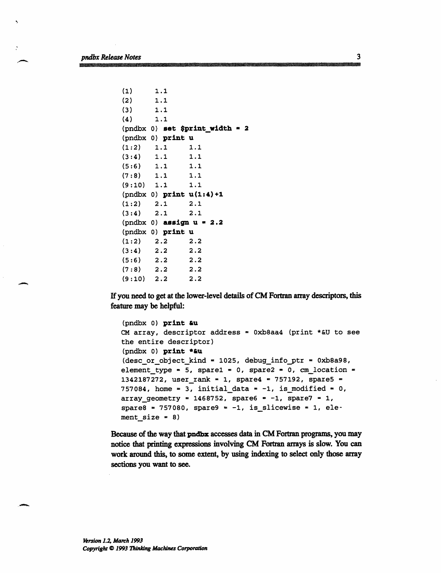```
(1) 1.1
(2) 1.1(3) 1.1(4) 1.1
(pndbx 0) set Sprint width - 2
(pndbx 0) print u
(1:2) 1.1 1.1
(3:4) 1.1 1.1
(5:6) 1.1 1.1
(7:8) 1.1 1.1
(9:10) 1.1 1.1
(pndbx 0) print u(1:4)+1
(1:2) 2.1 2.1
(3:4) 2.1 2.1
(pndbx 0) assign u = 2.2(pndbx 0) print u
(1:2) 2.2 2.2
(3:4) 2.2 2.2
(5:6) 2.2 2.2
(7:8) 2.2 2.2
(9:10) 2.2 2.2
```
**If you need to get at the lower-level details of CM Fortran array** descriptors, this **feature may be helpful:**

```
(pndbx 0) print &u
CM array, descriptor address = Oxb8aa4 (print *&U to see
the entire descriptor)
(pndbx O) print *&u
(desc or object kind = 1025, debug_info_ptr = 0xb8a98,
element_type = 5, spare1 = 0, spare2 = 0, cm_location =
1342187272, user_rank = 1, spare4 = 757192, spare5 =
757084, home = 3, initial_data = -1, is_modified = 0,
array geometry = 1468752, spare6 = -1, spare7 = 1,
spare8 = 757080, spare9 = -1, is slicewise = 1, ele-
ment_size = 8)
```
**Because of the way that pndbx accesses data in CM Fortran programs, you may notice that printing expressions involving CM Fortran arrays is slow. You can work around this, to some extent, by using indexing to select only those array** sections **you want to** see.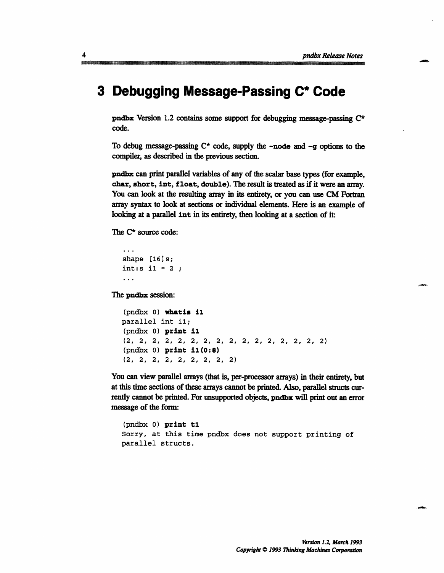### **3 Debugging Message-Passing C\* Code**

pndbx Version 1.2 contains some support for debugging message-passing C\* code.

To debug message-passing C\* code, supply the **-node** and -g options to the compiler, as described in the previous section.

pndbx can print parallel variables of any of the scalar base types (for example, char, short, int, float, double). The result is treated as if it were an array. You can look at the resulting array in its entirety, or you can use CM Fortran array syntax to look at sections or individual elements. Here is an example of looking at a parallel int in its entirety, then looking at a section of it:

The C\* source code:

```
\ddotscshape [16]s;
int:s i1 = 2;
\ddotsc
```
The **pndbx** session:

```
(pndbx O) whatis ii
parallel int i1;
(pndbx O) print ii
(2, 2, 2, 2, 2, 2, 2, 2,
2, 2, 2, 2, 2, 2, 2, 2)
(pndbx 0) print il(0:8)
(2, 2, 2, 2, 2, 2, 2, 2,
2)
```
You can view parallel arrays (that is, per-processor arrays) in their entirety, but at this time sections of these arrays cannot be printed. Also, parallel structs currently cannot be printed. For unsupported objects, pndbzx will print out an error message of the form:

(pndbx 0) **print tI** Sorry, at this time pndbx does not support printing of parallel structs.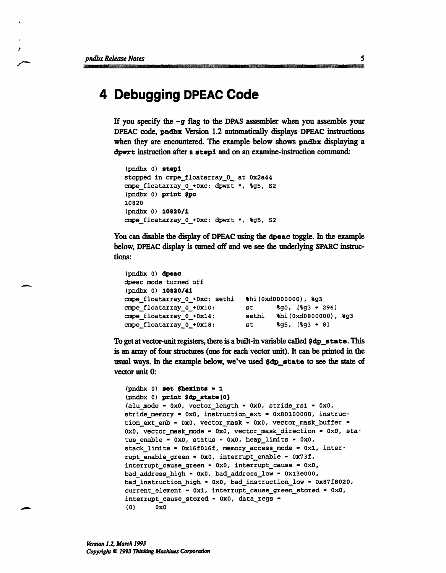### **4 Debugging DPEAC Code**

**If you** specify the -g flag to the DPAS assembler when **you assemble your DPEAC code, pndbx Version 1.2 automatically displays DPEAC instructions** when they are encountered. The **example below shows pndbx displaying a dpwrt** instruction after **a stepi and on an examine-instruction** command:

```
(pndbx 0) stepi
stopped in cmpe_floatarray_O_ at Ox2a44
cmpe_floatarray_0_+Oxc: dpwrt *, %g5, S2
(pndbx O) print $pc
10820
(pndbx 0) 10820/i
cmpe_floatarray_O_+Oxc: dpwrt *, %g5, S2
```
**You can disable the display of DPEAC using the dpeac toggle. In the example** below, DPEAC **display** is turned off **and** we see **the underlying** SPARC instructions:

```
(pndbx 0) dpeac
dpeac mode turned off
(pndbx 0) 10820/4i
cmpe floatarray 0 +0xc: sethi %hi(0xd0000000), %g3
cmpe floatarray 0 +0x10: st %g0, [%g3 + 296]
cmpe_floatarray_O_+Ox14: sethi %hi(OxdO800000), %g3
cmpe_floatarray_0_+Ox18: st %g5, [%g3 + 8]
```
To get at vector-unit registers, there is **a built-in variable called \$dp\_state.** This **is an array of** four structures **(one for each vector** unit). It **can be printed in the** usual ways. In **the example below, we've used \$dp\_state** to see **the state of** vector unit 0:

```
(pndbx O) set $hexints - 1
(pndbx 0) print \delta dp\_state[0].
(alu_mode = 0x0, vector_length = 0x0, stride_rs1 = 0x0,
stride memory = 0x0, instruction ext = 0x80100000, instruc-
tion_ext_enb = 0x0, vector_mask = 0x0, vector_mask_buffer =
OxO, vector_mask_mode = 0x0, vector_mask_direction = 0x0, sta-
tus enable = 0x0, status = 0x0, heap_limits = 0x0,
stack limits - Ox16fO16f, memory_access_mode - Oxl, inter-
rupt_enable_green - OxO, interrupt_enable - Ox73f,
interrupt_cause_green - OxO, interrupt_cause - OxO,
bad address_high = 0x0, bad_address_low = 0x13e000,
bad_instruction_high - 0x0, bad_instruction_low - 0x87f8020,
current element = 0x1, interrupt_cause_green_stored = 0x0,
interrupt cause stored = 0x0, dataregs =
(O) OxO
```